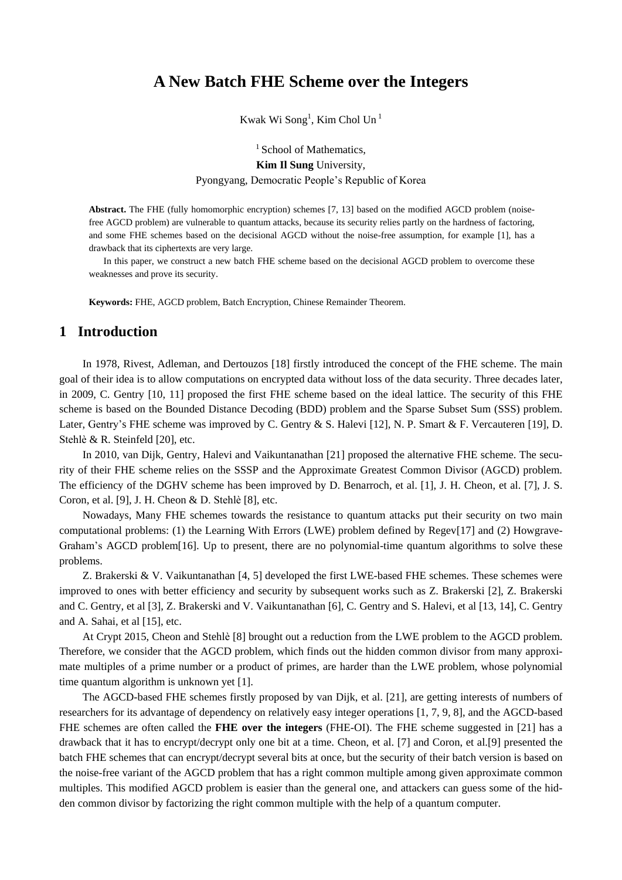# **A New Batch FHE Scheme over the Integers**

Kwak Wi Song<sup>1</sup>, Kim Chol Un<sup>1</sup>

 $<sup>1</sup>$  School of Mathematics,</sup> **Kim Il Sung** University, Pyongyang, Democratic People's Republic of Korea

**Abstract.** The FHE (fully homomorphic encryption) schemes [7, 13] based on the modified AGCD problem (noisefree AGCD problem) are vulnerable to quantum attacks, because its security relies partly on the hardness of factoring, and some FHE schemes based on the decisional AGCD without the noise-free assumption, for example [1], has a drawback that its ciphertexts are very large.

In this paper, we construct a new batch FHE scheme based on the decisional AGCD problem to overcome these weaknesses and prove its security.

**Keywords:** FHE, AGCD problem, Batch Encryption, Chinese Remainder Theorem.

## **1 Introduction**

In 1978, Rivest, Adleman, and Dertouzos [18] firstly introduced the concept of the FHE scheme. The main goal of their idea is to allow computations on encrypted data without loss of the data security. Three decades later, in 2009, C. Gentry [10, 11] proposed the first FHE scheme based on the ideal lattice. The security of this FHE scheme is based on the Bounded Distance Decoding (BDD) problem and the Sparse Subset Sum (SSS) problem. Later, Gentry's FHE scheme was improved by C. Gentry & S. Halevi [12], N. P. Smart & F. Vercauteren [19], D. Stehlè & R. Steinfeld [20], etc.

In 2010, van Dijk, Gentry, Halevi and Vaikuntanathan [21] proposed the alternative FHE scheme. The security of their FHE scheme relies on the SSSP and the Approximate Greatest Common Divisor (AGCD) problem. The efficiency of the DGHV scheme has been improved by D. Benarroch, et al. [1], J. H. Cheon, et al. [7], J. S. Coron, et al. [9], J. H. Cheon & D. Stehlѐ [8], etc.

Nowadays, Many FHE schemes towards the resistance to quantum attacks put their security on two main computational problems: (1) the Learning With Errors (LWE) problem defined by Regev[17] and (2) Howgrave-Graham's AGCD problem[16]. Up to present, there are no polynomial-time quantum algorithms to solve these problems.

Z. Brakerski & V. Vaikuntanathan [4, 5] developed the first LWE-based FHE schemes. These schemes were improved to ones with better efficiency and security by subsequent works such as Z. Brakerski [2], Z. Brakerski and C. Gentry, et al [3], Z. Brakerski and V. Vaikuntanathan [6], C. Gentry and S. Halevi, et al [13, 14], C. Gentry and A. Sahai, et al [15], etc.

At Crypt 2015, Cheon and Stehlѐ [8] brought out a reduction from the LWE problem to the AGCD problem. Therefore, we consider that the AGCD problem, which finds out the hidden common divisor from many approximate multiples of a prime number or a product of primes, are harder than the LWE problem, whose polynomial time quantum algorithm is unknown yet [1].

The AGCD-based FHE schemes firstly proposed by van Dijk, et al. [21], are getting interests of numbers of researchers for its advantage of dependency on relatively easy integer operations [1, 7, 9, 8], and the AGCD-based FHE schemes are often called the **FHE over the integers** (FHE-OI). The FHE scheme suggested in [21] has a drawback that it has to encrypt/decrypt only one bit at a time. Cheon, et al. [7] and Coron, et al.[9] presented the batch FHE schemes that can encrypt/decrypt several bits at once, but the security of their batch version is based on the noise-free variant of the AGCD problem that has a right common multiple among given approximate common multiples. This modified AGCD problem is easier than the general one, and attackers can guess some of the hidden common divisor by factorizing the right common multiple with the help of a quantum computer.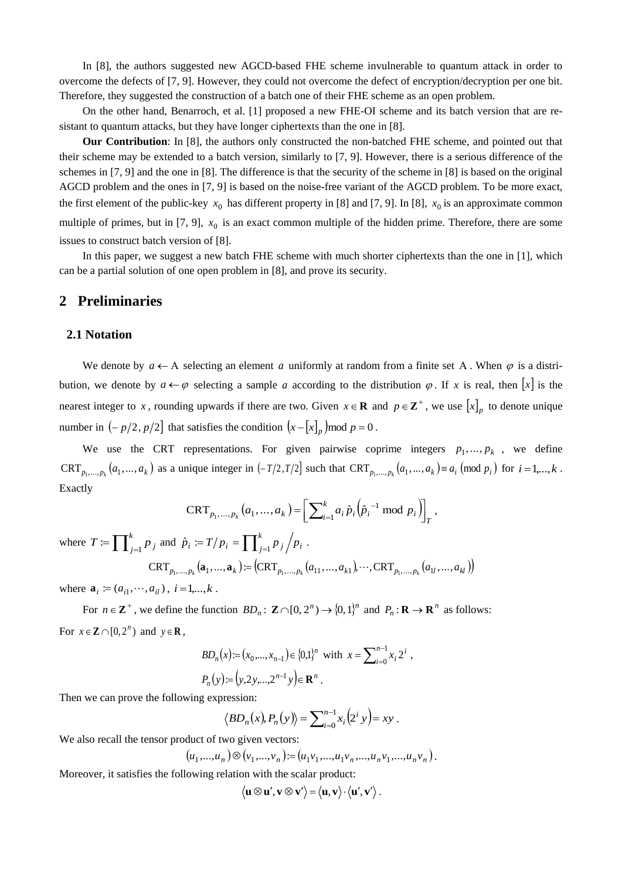In [8], the authors suggested new AGCD-based FHE scheme invulnerable to quantum attack in order to overcome the defects of [7, 9]. However, they could not overcome the defect of encryption/decryption per one bit. Therefore, they suggested the construction of a batch one of their FHE scheme as an open problem.

On the other hand, Benarroch, et al. [1] proposed a new FHE-OI scheme and its batch version that are resistant to quantum attacks, but they have longer ciphertexts than the one in [8].

**Our Contribution**: In [8], the authors only constructed the non-batched FHE scheme, and pointed out that their scheme may be extended to a batch version, similarly to [7, 9]. However, there is a serious difference of the schemes in [7, 9] and the one in [8]. The difference is that the security of the scheme in [8] is based on the original AGCD problem and the ones in [7, 9] is based on the noise-free variant of the AGCD problem. To be more exact, the first element of the public-key  $x_0$  has different property in [8] and [7, 9]. In [8],  $x_0$  is an approximate common multiple of primes, but in  $[7, 9]$ ,  $x_0$  is an exact common multiple of the hidden prime. Therefore, there are some issues to construct batch version of [8].

In this paper, we suggest a new batch FHE scheme with much shorter ciphertexts than the one in [1], which can be a partial solution of one open problem in [8], and prove its security.

# **2 Preliminaries**

#### **2.1 Notation**

We denote by  $a \leftarrow A$  selecting an element a uniformly at random from a finite set A. When  $\varphi$  is a distribution, we denote by  $a \leftarrow \varphi$  selecting a sample a according to the distribution  $\varphi$ . If x is real, then [x] is the nearest integer to x, rounding upwards if there are two. Given  $x \in \mathbf{R}$  and  $p \in \mathbf{Z}^+$ , we use  $\left[ x \right]_p$  to denote unique number in  $\left(-\frac{p}{2}, \frac{p}{2}\right]$  that satisfies the condition  $\left(x - \left[x\right]_p\right)$  mod  $p = 0$ .

We use the CRT representations. For given pairwise coprime integers  $p_1, ..., p_k$ , we define  $\text{CRT}_{p_1,\ldots,p_k}(a_1,\ldots,a_k)$  as a unique integer in  $(-T/2,T/2]$  such that  $\text{CRT}_{p_1,\ldots,p_k}(a_1,\ldots,a_k) \equiv a_i \pmod{p_i}$  for  $i=1,\ldots,k$ . Exactly

$$
\text{CRT}_{p_1,\dots,p_k}(a_1,\dots,a_k) = \left[\sum_{i=1}^k a_i \hat{p}_i \left(\hat{p}_i^{-1} \bmod p_i\right)\right]_T,
$$

where  $T \coloneqq \prod_{j=1}^k$  $T := \prod_{j=1}^{k} p_j$  and  $\hat{p}_i := T/p_i = \prod_{j=1}^{k} p_j / p_i$ *k*  $\hat{p}_i := T/p_i = \prod_{j=1}^k p_j / p_i$ . CRT<sub>p<sub>1</sub>,...,p<sub>k</sub></sub>( $\mathbf{a}_1$ ,..., $\mathbf{a}_k$ ) = (CRT<sub>p<sub>1</sub>,...,p<sub>k</sub></sub>( $a_{11}$ ,..., $a_{k1}$ ),...,CRT<sub>p<sub>1</sub>,...,p<sub>k</sub></sub>( $a_{1l}$ ,..., $a_{kl}$ ))

where  $\mathbf{a}_i := (a_{i1}, \dots, a_{il})$ ,  $i = 1, \dots, k$ .

For  $n \in \mathbb{Z}^+$ , we define the function  $BD_n: \mathbb{Z} \cap [0, 2^n) \to \{0, 1\}^n$  and  $P_n: \mathbb{R} \to \mathbb{R}^n$  as follows: For  $x \in \mathbb{Z} \cap [0, 2^n)$  and  $y \in \mathbb{R}$ ,

$$
BD_n(x) := (x_0, ..., x_{n-1}) \in \{0, 1\}^n \text{ with } x = \sum_{i=0}^{n-1} x_i 2^i ,
$$
  

$$
P_n(y) := (y, 2y, ..., 2^{n-1} y) \in \mathbf{R}^n .
$$

Then we can prove the following expression:

$$
\langle BD_n(x), P_n(y) \rangle = \sum_{i=0}^{n-1} x_i (2^i y) = xy.
$$

We also recall the tensor product of two given vectors:

$$
(u_1,...,u_n)\otimes (v_1,...,v_n) := (u_1v_1,...,u_1v_n,...,u_nv_1,...,u_nv_n).
$$

Moreover, it satisfies the following relation with the scalar product:

$$
\langle \mathbf{u} \otimes \mathbf{u}', \mathbf{v} \otimes \mathbf{v}' \rangle = \langle \mathbf{u}, \mathbf{v} \rangle \cdot \langle \mathbf{u}', \mathbf{v}' \rangle.
$$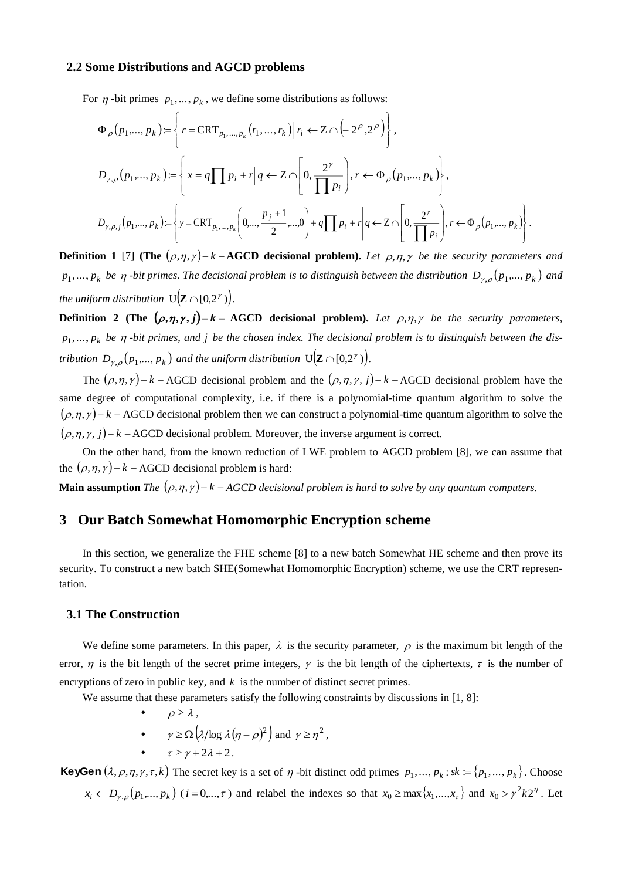#### **2.2 Some Distributions and AGCD problems**

For  $\eta$ -bit primes  $p_1, \ldots, p_k$ , we define some distributions as follows:

$$
\Phi_{\rho}(p_{1},...,p_{k}) \coloneqq \left\{ r = \text{CRT}_{p_{1},...,p_{k}}(r_{1},...,r_{k}) | r_{i} \leftarrow Z \cap (-2^{\rho}, 2^{\rho}) \right\},
$$
\n
$$
D_{\gamma,\rho}(p_{1},...,p_{k}) \coloneqq \left\{ x = q \prod p_{i} + r | q \leftarrow Z \cap \left[0, \frac{2^{\gamma}}{\prod p_{i}}\right], r \leftarrow \Phi_{\rho}(p_{1},...,p_{k}) \right\},
$$
\n
$$
D_{\gamma,\rho,j}(p_{1},...,p_{k}) \coloneqq \left\{ y = \text{CRT}_{p_{1},...,p_{k}}\left(0,...,\frac{p_{j}+1}{2},...,0\right) + q \prod p_{i} + r | q \leftarrow Z \cap \left[0, \frac{2^{\gamma}}{\prod p_{i}}\right], r \leftarrow \Phi_{\rho}(p_{1},...,p_{k}) \right\}.
$$

**Definition 1** [7] **(The**  $(\rho, \eta, \gamma) - k - AGCD$  **decisional problem).** Let  $\rho, \eta, \gamma$  be the security parameters and  $p_1,...,p_k$  be  $\eta$  -bit primes. The decisional problem is to distinguish between the distribution  $D_{\gamma,\rho}(p_1,...,p_k)$  and the uniform distribution  $\mathrm{U}(\mathbf{Z} \cap [0,2^{\gamma})\big)$ .

**Definition 2** (The  $(\rho, \eta, \gamma, j) - k - AGCD$  decisional problem). Let  $\rho, \eta, \gamma$  be the security parameters,  $p_1, \ldots, p_k$  be  $\eta$ -bit primes, and *j* be the chosen index. The decisional problem is to distinguish between the dis*tribution*  $D_{\gamma,\rho}(p_1,...,p_k)$  and the uniform distribution  $\mathrm{U}(\mathbf{Z}\cap\left[0,2^{\gamma})\right)$ .

The  $(\rho, \eta, \gamma) - k - AGCD$  decisional problem and the  $(\rho, \eta, \gamma, j) - k - AGCD$  decisional problem have the same degree of computational complexity, i.e. if there is a polynomial-time quantum algorithm to solve the  $(\rho, \eta, \gamma) - k - AGCD$  decisional problem then we can construct a polynomial-time quantum algorithm to solve the  $(\rho, \eta, \gamma, i) - k - AGCD$  decisional problem. Moreover, the inverse argument is correct.

On the other hand, from the known reduction of LWE problem to AGCD problem [8], we can assume that the  $(\rho, \eta, \gamma) - k - AGCD$  decisional problem is hard:

**Main assumption** *The*  $(\rho, \eta, \gamma) - k - AGCD$  decisional problem is hard to solve by any quantum computers.

# **3 Our Batch Somewhat Homomorphic Encryption scheme**

In this section, we generalize the FHE scheme [8] to a new batch Somewhat HE scheme and then prove its security. To construct a new batch SHE(Somewhat Homomorphic Encryption) scheme, we use the CRT representation.

### **3.1 The Construction**

We define some parameters. In this paper,  $\lambda$  is the security parameter,  $\rho$  is the maximum bit length of the error,  $\eta$  is the bit length of the secret prime integers,  $\gamma$  is the bit length of the ciphertexts,  $\tau$  is the number of encryptions of zero in public key, and  $k$  is the number of distinct secret primes.

We assume that these parameters satisfy the following constraints by discussions in [1, 8]:

- $\rho \geq \lambda$ ,
- $\gamma \ge \Omega \left( \frac{\lambda}{\log \lambda} (\eta \rho)^2 \right)$  and  $\gamma \ge \eta^2$ ,
- $\tau > \nu + 2\lambda + 2$

**KeyGen**  $(\lambda, \rho, \eta, \gamma, \tau, k)$  The secret key is a set of  $\eta$ -bit distinct odd primes  $p_1, \dots, p_k$ :  $sk := \{p_1, \dots, p_k\}$ . Choose

 $x_i \leftarrow D_{\gamma,\rho}(p_1,...,p_k)$  ( $i=0,..., \tau$ ) and relabel the indexes so that  $x_0 \ge \max\{x_1,...,x_{\tau}\}\$  and  $x_0 > \gamma^2 k 2^{\eta}$ . Let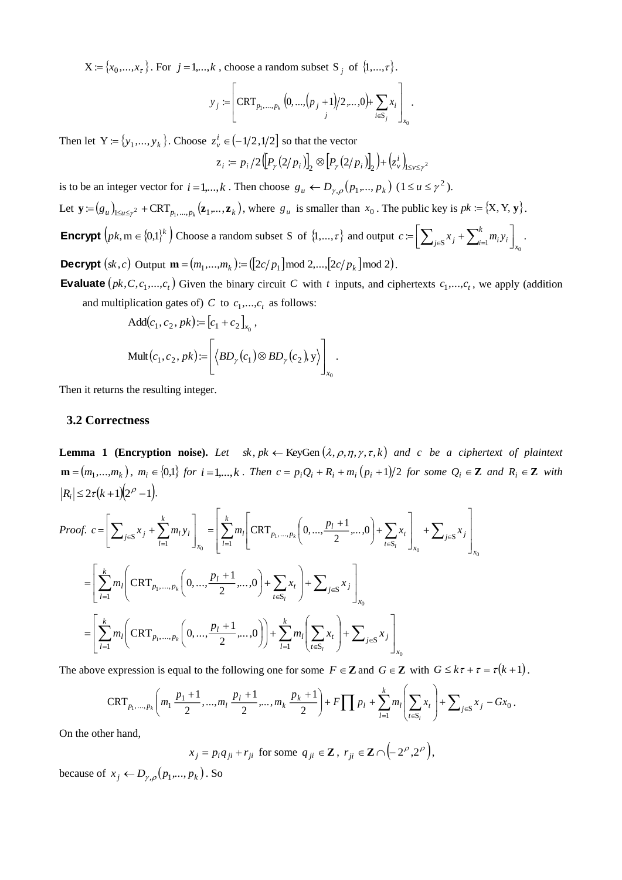$X := \{x_0, \ldots, x_\tau\}$ . For  $j = 1, \ldots, k$ , choose a random subset  $S_j$  of  $\{1, \ldots, \tau\}$ .

$$
y_j := \left[ \text{CRT}_{p_1, ..., p_k} \left( 0, ..., \left( p_j + 1 \right) / 2, ..., 0 \right) + \sum_{i \in S_j} x_i \right]_{x_0}.
$$

Then let  $Y := \{y_1, \ldots, y_k\}$ . Choose  $z^i_v \in (-1/2, 1/2]$  so that the vector

$$
z_i := p_i / 2 \big[ \big[ P_{\gamma} (2/p_i) \big]_2 \otimes \big[ P_{\gamma} (2/p_i) \big]_2 \big) + \big( z_{\nu}^i \big)_{1 \le \nu \le \gamma^2}
$$

is to be an integer vector for  $i = 1,...,k$ . Then choose  $g_u \leftarrow D_{\gamma,\rho}(p_1,...,p_k)$  ( $1 \le u \le \gamma^2$ ).

Let  $\mathbf{y} = (g_u)_{1 \le u \le y^2} + \text{CRT}_{p_1, ..., p_k}(\mathbf{z}_1, ..., \mathbf{z}_k)$ , where  $g_u$  is smaller than  $x_0$ . The public key is  $pk = \{X, Y, y\}$ .

**Encrypt**  $(pk, m \in \{0,1\}^k)$  Choose a random subset S of  $\{1,..., \tau\}$  and output  $c = \left[ \sum_{i \in S} x_i + \sum_{i=1}^k x_i \right]$ 0 *x k*  $c := [$   $\sum_{j \in S} x_j + \sum_{i=1}^m m_i y_i ]$ 1 L  $=\left[\sum_{j\in S}x_j+\sum_{i=1}^k m_i y_i\right]$ .

**Decrypt**  $(s_k, c)$  Output  $\mathbf{m} = (m_1, ..., m_k) := (\lfloor 2c/p_1 \rfloor \mod 2, ..., \lfloor 2c/p_k \rfloor \mod 2)$ .

**Evaluate**  $(pk, C, c_1, \ldots, c_t)$  Given the binary circuit C with t inputs, and ciphertexts  $c_1, \ldots, c_t$ , we apply (addition and multiplication gates of) C to  $c_1, \ldots, c_t$  as follows:

.

Add
$$
(c_1, c_2, pk) := [c_1 + c_2]_{x_0}
$$
,  
\nMult $(c_1, c_2, pk) := \left[ \langle BD_\gamma(c_1) \otimes BD_\gamma(c_2), y \rangle \right]_{x_0}$ 

Then it returns the resulting integer.

### **3.2 Correctness**

**Lemma 1 (Encryption noise).** Let sk, pk  $\leftarrow$  KeyGen  $(\lambda, \rho, \eta, \gamma, \tau, k)$  and c be a ciphertext of plaintext  $\mathbf{m} = (m_1, \ldots, m_k)$ ,  $m_i \in \{0,1\}$  for  $i = 1,\ldots,k$ . Then  $c = p_i Q_i + R_i + m_i (p_i + 1)/2$  for some  $Q_i \in \mathbf{Z}$  and  $R_i \in \mathbf{Z}$  with  $R_i \leq 2\tau(k+1)(2^{\rho}-1).$ 

Proof. 
$$
c = \left[\sum_{j\in S} x_j + \sum_{l=1}^k m_l y_l\right]_{x_0} = \left[\sum_{l=1}^k m_l \left[\text{CRT}_{p_1,\dots,p_k}\left(0,\dots,\frac{p_l+1}{2},\dots,0\right) + \sum_{t\in S_l} x_t\right]_{x_0} + \sum_{j\in S} x_j\right]_{x_0}
$$

$$
= \left[\sum_{l=1}^k m_l \left(\text{CRT}_{p_1,\dots,p_k}\left(0,\dots,\frac{p_l+1}{2},\dots,0\right) + \sum_{t\in S_l} x_t\right) + \sum_{j\in S} x_j\right]_{x_0}
$$

$$
= \left[\sum_{l=1}^k m_l \left(\text{CRT}_{p_1,\dots,p_k}\left(0,\dots,\frac{p_l+1}{2},\dots,0\right)\right) + \sum_{l=1}^k m_l \left(\sum_{t\in S_l} x_t\right) + \sum_{j\in S} x_j\right]_{x_0}
$$

The above expression is equal to the following one for some  $F \in \mathbb{Z}$  and  $G \in \mathbb{Z}$  with  $G \leq k\tau + \tau = \tau(k+1)$ .

$$
\text{CRT}_{p_1,\dots,p_k}\left(m_1\,\frac{p_1+1}{2},...,m_l\,\frac{p_l+1}{2},...,m_k\,\frac{p_k+1}{2}\right)+F\prod p_l+\sum_{l=1}^k m_l\left(\sum_{t\in S_l}x_t\right)+\sum_{j\in S}x_j-Gx_0\,.
$$

On the other hand,

 $x_j = p_i q_{ji} + r_{ji}$  for some  $q_{ji} \in \mathbb{Z}$ ,  $r_{ji} \in \mathbb{Z} \cap \left(-2^\rho, 2^\rho\right)$ ,

because of  $x_j \leftarrow D_{\gamma,\rho}(p_1,...,p_k)$ . So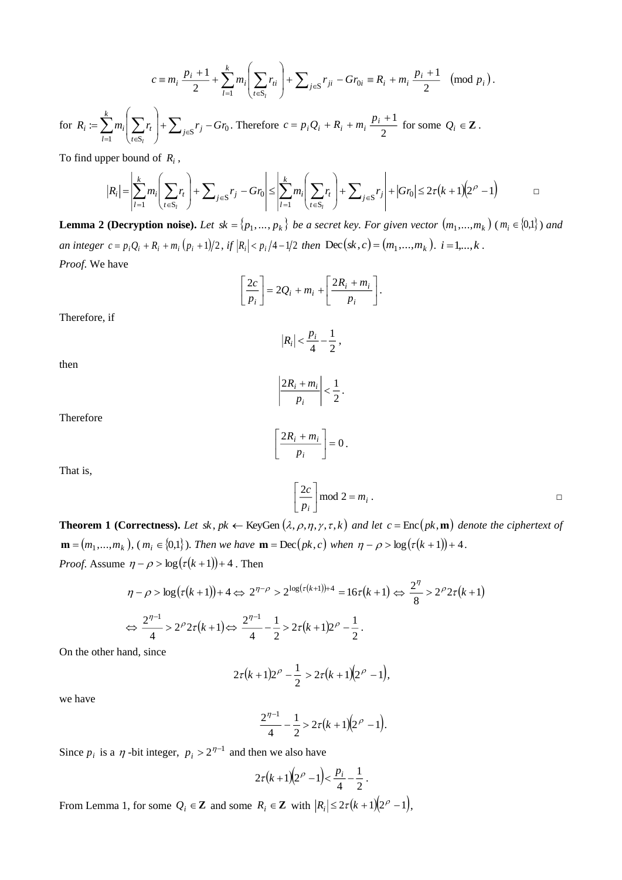$$
c \equiv m_i \frac{p_i + 1}{2} + \sum_{l=1}^{k} m_i \left( \sum_{t \in S_l} r_{li} \right) + \sum_{j \in S} r_{ji} - Gr_{0i} \equiv R_i + m_i \frac{p_i + 1}{2} \pmod{p_i}.
$$
  

$$
\left( \sum_{r} r \right) + \sum_{r} r_{i} - Gr_{r} \text{ Therefore } c = nQ_{r} + R_{r} + m_{r} \frac{p_i + 1}{2} \text{ for some } Q_{r} \in \mathbb{Z}.
$$

for  $R_i \coloneqq \sum_{l=1}^n m_i \left( \sum_{t \in S_l} r_t \right) + \sum_{j \in S} r_j - Gr_0$  $R_i \coloneqq \sum m_i \left| \sum r_i \right| + \sum_{j \in \mathcal{S}} r_j - G r_j$ *k l t i* • 7 *i*  $\binom{n_i}{i}$  7 *i t*  $+$  >  $r_{i}$  -I J I  $\mathsf{I}$ l  $=\sum_{l=1}m_i\bigg|\sum_{t\in \mathrm{S}_i}r_t\ \bigg|+\sum_{j\in \mathrm{S}_i}$ . Therefore  $c = p_i Q_i + R_i + m_i \frac{P_i}{2}$  $c = p_i Q_i + R_i + m_i \frac{p_i + 1}{2}$  for some  $Q_i \in \mathbb{Z}$ .

To find upper bound of  $R_i$ ,

$$
|R_i| = \left| \sum_{l=1}^k m_i \left( \sum_{t \in S_l} r_t \right) + \sum_{j \in S} r_j - Gr_0 \right| \le \left| \sum_{l=1}^k m_i \left( \sum_{t \in S_l} r_t \right) + \sum_{j \in S} r_j \right| + |Gr_0| \le 2\tau (k+1)(2^{\rho}-1) \qquad \Box
$$

**Lemma 2 (Decryption noise).** Let  $sk = \{p_1, ..., p_k\}$  be a secret key. For given vector  $(m_1, ..., m_k)$  ( $m_i \in \{0,1\}$ ) and an integer  $c = p_i Q_i + R_i + m_i (p_i + 1)/2$ , if  $|R_i| < p_i/4 - 1/2$  then  $\text{Dec}(sk, c) = (m_1, ..., m_k)$ .  $i = 1,...,k$ . *Proof*. We have

$$
\left[\frac{2c}{p_i}\right] = 2Q_i + m_i + \left[\frac{2R_i + m_i}{p_i}\right].
$$

Therefore, if

$$
\left|R_i\right| < \frac{p_i}{4} - \frac{1}{2} \;,
$$

then

$$
\left|\frac{2R_i+m_i}{p_i}\right|<\frac{1}{2}.
$$

Therefore

$$
\left[\frac{2R_i + m_i}{p_i}\right] = 0.
$$

That is,

$$
\left[\frac{2c}{p_i}\right] \mod 2 = m_i .
$$

**Theorem 1 (Correctness).** Let sk, pk  $\leftarrow$  KeyGen  $(\lambda, \rho, \eta, \gamma, \tau, k)$  and let  $c = \text{Enc}(pk, \mathbf{m})$  denote the ciphertext of **,**  $(m_i \in \{0, 1\})$ **. Then we have**  $**m** = Dec(pk, c)$  **when**  $\eta - \rho > log(\tau(k + 1)) + 4$ **.** *Proof.* Assume  $\eta - \rho > \log(\tau(k+1)) + 4$ . Then

$$
\eta - \rho > \log(\tau(k+1)) + 4 \Leftrightarrow 2^{\eta - \rho} > 2^{\log(\tau(k+1)) + 4} = 16\tau(k+1) \Leftrightarrow \frac{2^{\eta}}{8} > 2^{\rho} 2\tau(k+1)
$$

$$
\Leftrightarrow \frac{2^{\eta - 1}}{4} > 2^{\rho} 2\tau(k+1) \Leftrightarrow \frac{2^{\eta - 1}}{4} - \frac{1}{2} > 2\tau(k+1) 2^{\rho} - \frac{1}{2}.
$$

On the other hand, since

$$
2\tau(k+1)2^{\rho}-\frac{1}{2} > 2\tau(k+1)(2^{\rho}-1),
$$

we have

$$
\frac{2^{\eta-1}}{4} - \frac{1}{2} > 2\tau(k+1)(2^{\rho} - 1).
$$

Since  $p_i$  is a  $\eta$ -bit integer,  $p_i > 2^{\eta-1}$  and then we also have

$$
2\tau(k+1)(2^{\rho}-1) < \frac{p_i}{4} - \frac{1}{2}.
$$

From Lemma 1, for some  $Q_i \in \mathbb{Z}$  and some  $R_i \in \mathbb{Z}$  with  $|R_i| \leq 2\tau(k+1)(2^{\rho}-1)$ ,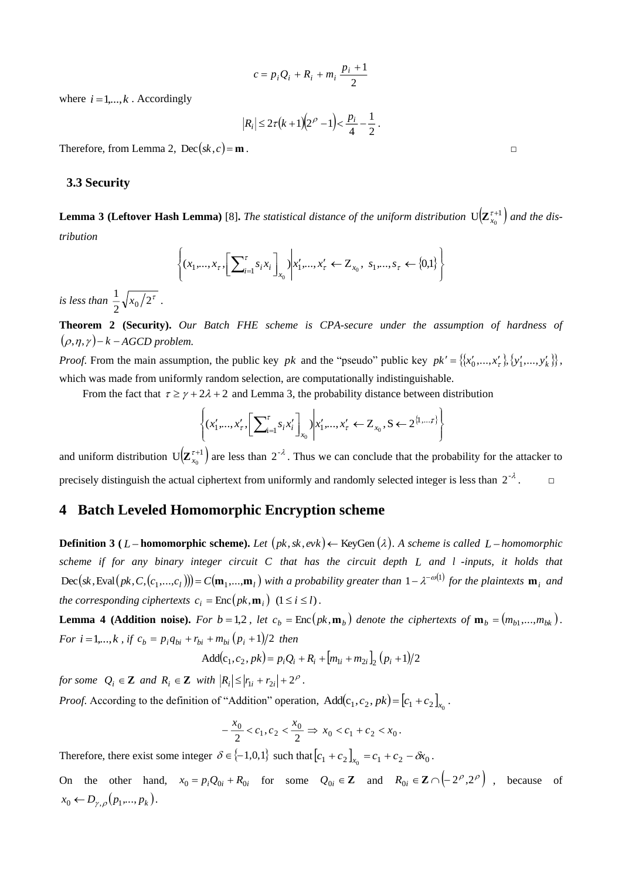$$
c = p_i Q_i + R_i + m_i \frac{p_i + 1}{2}
$$

where  $i = 1, \ldots, k$ . Accordingly

$$
|R_i| \leq 2\tau (k+1)(2^{\rho}-1) < \frac{p_i}{4} - \frac{1}{2}.
$$

Therefore, from Lemma 2,  $\text{Dec}(sk, c) = \mathbf{m}$ .

#### **3.3 Security**

**Lemma 3 (Leftover Hash Lemma)** [8]. *The statistical distance of the uniform distribution*  $U(Z_{x_0}^{\tau+1})$  $U(\mathbf{Z}_{x_0}^{\tau+1})$  and the dis*tribution* 

$$
\left\{ (x_1, ..., x_{\tau}, \left[ \sum_{i=1}^{\tau} s_i x_i \right]_{x_0}) \middle| x'_1, ..., x'_{\tau} \leftarrow Z_{x_0}, s_1, ..., s_{\tau} \leftarrow \{0,1\} \right\} \right\}
$$

*is less than*  $\frac{1}{2}\sqrt{x_0/2^{\tau}}$ 2 1  $x_0/2^{\tau}$ .

**Theorem 2 (Security).** *Our Batch FHE scheme is CPA-secure under the assumption of hardness of*   $(\rho, \eta, \gamma) - k - AGCD$  problem.

*Proof.* From the main assumption, the public key *pk* and the "pseudo" public key  $pk' = \{\{x'_0, ..., x'_r\}, \{y'_1, ..., y'_k\}\}\,$ which was made from uniformly random selection, are computationally indistinguishable.

From the fact that  $\tau \ge \gamma + 2\lambda + 2$  and Lemma 3, the probability distance between distribution

$$
\left\{ (x'_1,...,x'_r, \left[ \sum_{i=1}^r s_i x'_i \right]_{x_0} \middle| x'_1,...,x'_r \leftarrow Z_{x_0}, S \leftarrow 2^{\{1,...r\}} \right] \right\}
$$

and uniform distribution  $U(Z_{x_0}^{\tau+1})$  $U(\mathbf{Z}_{x_0}^{\tau+1})$  are less than  $2^{-\lambda}$ . Thus we can conclude that the probability for the attacker to precisely distinguish the actual ciphertext from uniformly and randomly selected integer is less than  $2^{-\lambda}$ .

### **4 Batch Leveled Homomorphic Encryption scheme**

**Definition 3** (L – homomorphic scheme). Let  $(pk, sk, evk) \leftarrow \text{KeyGen}(\lambda)$ . A scheme is called L – homomorphic *scheme if for any binary integer circuit C that has the circuit depth L and <sup>l</sup> -inputs, it holds that*   $\text{Dec}(sk, \text{Eval}(pk, C, (c_1, ..., c_l))) = C(\mathbf{m}_1, ..., \mathbf{m}_l)$  with a probability greater than  $1 - \lambda^{-\omega(1)}$  for the plaintexts  $\mathbf{m}_i$  and *the corresponding ciphertexts*  $c_i = \text{Enc}(pk, \mathbf{m}_i)$   $(1 \le i \le l)$ .

**Lemma 4 (Addition noise).** For  $b = 1,2$ , let  $c_b = \text{Enc}(pk, \mathbf{m}_b)$  denote the ciphertexts of  $\mathbf{m}_b = (m_{b1}, ..., m_{bk})$ . *For*  $i = 1,...,k$ , if  $c_b = p_i q_{bi} + r_{bi} + m_{bi} (p_i + 1)/2$  then

Add
$$
(c_1, c_2, pk) = p_i Q_i + R_i + [m_{1i} + m_{2i}]_2 (p_i + 1)/2
$$

*for some*  $Q_i \in \mathbb{Z}$  *and*  $R_i \in \mathbb{Z}$  *with*  $|R_i| \leq |r_{1i} + r_{2i}| + 2^{\rho}$ .

*Proof.* According to the definition of "Addition" operation,  $Add(c_1, c_2, pk) = [c_1 + c_2]_{x_0}$ .

$$
-\frac{x_0}{2} < c_1, c_2 < \frac{x_0}{2} \Rightarrow x_0 < c_1 + c_2 < x_0.
$$

Therefore, there exist some integer  $\delta \in \{-1,0,1\}$  such that  $[c_1 + c_2]_{x_0} = c_1 + c_2 - \delta x_0$ .

On the other hand,  $x_0 = p_i Q_{0i} + R_{0i}$  for some  $Q_{0i} \in \mathbb{Z}$  and  $R_{0i} \in \mathbb{Z} \cap (-2^\rho, 2^\rho)$ , because of  $x_0 \leftarrow D_{\gamma,\rho}(p_1,...,p_k).$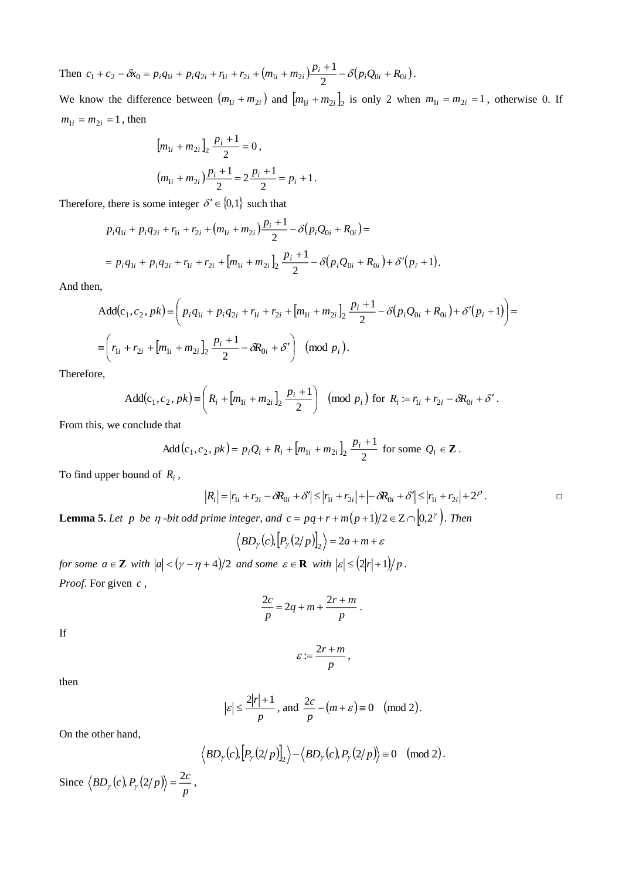Then  $c_1 + c_2 - \delta x_0 = p_i q_{1i} + p_i q_{2i} + r_{1i} + r_{2i} + (m_{1i} + m_{2i}) \frac{p_i + 1}{2} - \delta (p_i Q_{0i} + R_{0i})$  $+ c_2 - \delta x_0 = p_i q_{1i} + p_i q_{2i} + r_{1i} + r_{2i} + (m_{1i} + m_{2i}) \frac{p_i + 1}{2} - \delta (p_i Q_{0i} + R_{0i}).$ 

We know the difference between  $(m_{1i} + m_{2i})$  and  $[m_{1i} + m_{2i}]_2$  is only 2 when  $m_{1i} = m_{2i} = 1$ , otherwise 0. If  $m_{1i} = m_{2i} = 1$ , then

$$
[m_{1i} + m_{2i}]_2 \frac{p_i + 1}{2} = 0,
$$
  

$$
(m_{1i} + m_{2i}) \frac{p_i + 1}{2} = 2 \frac{p_i + 1}{2} = p_i + 1.
$$

Therefore, there is some integer  $\delta' \in \{0,1\}$  such that

$$
p_i q_{1i} + p_i q_{2i} + r_{1i} + r_{2i} + (m_{1i} + m_{2i}) \frac{p_i + 1}{2} - \delta(p_i Q_{0i} + R_{0i}) =
$$
  
=  $p_i q_{1i} + p_i q_{2i} + r_{1i} + r_{2i} + [m_{1i} + m_{2i}]_2 \frac{p_i + 1}{2} - \delta(p_i Q_{0i} + R_{0i}) + \delta'(p_i + 1).$ 

And then,

Add
$$
(c_1, c_2, pk) \equiv \left( p_i q_{1i} + p_i q_{2i} + r_{1i} + r_{2i} + [m_{1i} + m_{2i}]_2 \frac{p_i + 1}{2} - \delta(p_i Q_{0i} + R_{0i}) + \delta'(p_i + 1) \right) =
$$
  

$$
\equiv \left( r_{1i} + r_{2i} + [m_{1i} + m_{2i}]_2 \frac{p_i + 1}{2} - \delta R_{0i} + \delta' \right) \pmod{p_i}.
$$

Therefore,

Add
$$
(c_1, c_2, pk)
$$
 =  $\left(R_i + [m_{1i} + m_{2i}]_2 \frac{p_i + 1}{2}\right) \pmod{p_i}$  for  $R_i := r_{1i} + r_{2i} - \delta R_{0i} + \delta'$ .

From this, we conclude that

Add 
$$
(c_1, c_2, pk) = p_i Q_i + R_i + [m_{1i} + m_{2i}]_2 \frac{p_i + 1}{2}
$$
 for some  $Q_i \in \mathbb{Z}$ .

To find upper bound of  $R_i$ ,

$$
|R_i| = |r_{1i} + r_{2i} - \delta R_{0i} + \delta'| \le |r_{1i} + r_{2i}| + |- \delta R_{0i} + \delta'| \le |r_{1i} + r_{2i}| + 2^{\rho}.
$$

**Lemma 5.** Let  $p$  be  $p$  -bit odd prime integer, and  $c = pq + r + m(p+1)/2 \in \mathbb{Z} \cap [0,2^{\gamma})$ . Then

$$
\langle BD_{\gamma}(c), [P_{\gamma}(2/p)]_{2} \rangle = 2a + m + \varepsilon
$$

*for some*  $a \in \mathbb{Z}$  with  $|a| < (y - \eta + 4)/2$  and some  $\varepsilon \in \mathbb{R}$  with  $|\varepsilon| \leq (2|r|+1)/p$ . *Proof*. For given *<sup>c</sup>* ,

$$
\frac{2c}{p} = 2q + m + \frac{2r + m}{p}.
$$

If

$$
\varepsilon := \frac{2r+m}{p},
$$

then

$$
|\varepsilon| \le \frac{2|r|+1}{p}
$$
, and  $\frac{2c}{p} - (m+\varepsilon) \equiv 0 \pmod{2}$ .

On the other hand,

$$
\langle BD_{\gamma}(c), [P_{\gamma}(2/p)]_{2} \rangle - \langle BD_{\gamma}(c), P_{\gamma}(2/p) \rangle \equiv 0 \pmod{2}.
$$

Since  $\langle BD_{\gamma}(c), P_{\gamma}(2/p) \rangle = \frac{2c}{p}$  $BD_{\nu}(c)$ ,  $P_{\nu}(2/p)\rangle = \frac{2c}{\nu}$  $P_{\gamma}(c)$ ,  $P_{\gamma}(2/p)$  =  $\frac{2c}{\gamma}$ ,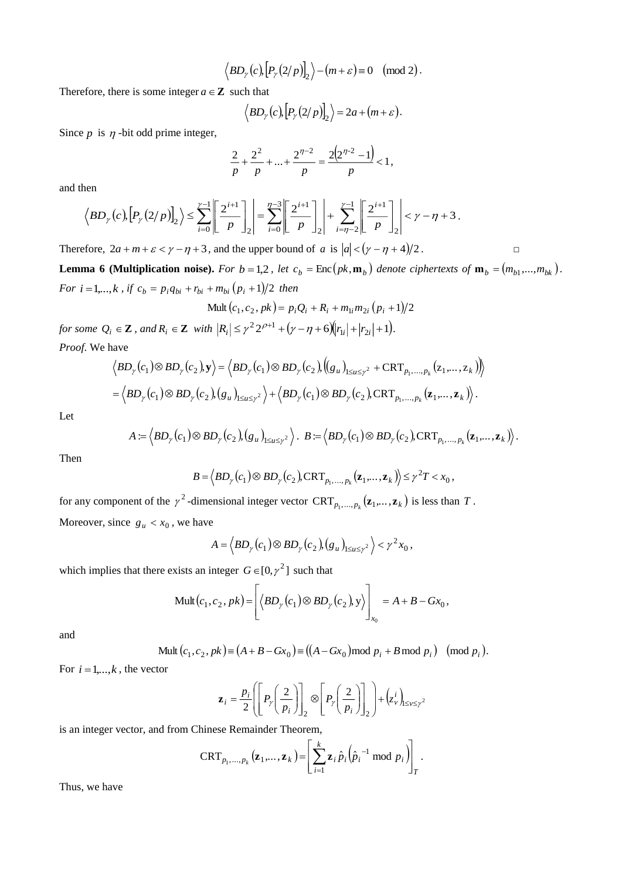$$
\langle BD_{\gamma}(c), [P_{\gamma}(2/p)]_{2}\rangle - (m+\varepsilon) \equiv 0 \pmod{2}.
$$

Therefore, there is some integer  $a \in \mathbb{Z}$  such that

$$
\langle BD_{\gamma}(c), [P_{\gamma}(2/p)]_{2}\rangle = 2a + (m+\varepsilon).
$$

Since  $p$  is  $\eta$ -bit odd prime integer,

$$
\frac{2}{p} + \frac{2^2}{p} + \dots + \frac{2^{\eta - 2}}{p} = \frac{2(2^{\eta - 2} - 1)}{p} < 1,
$$

and then

$$
\left\langle BD_{\gamma}(c), \left[P_{\gamma}(2/p)\right]_{2}\right\rangle \leq \sum_{i=0}^{\gamma-1} \left\lfloor \frac{2^{i+1}}{p} \right\rfloor_{2} = \sum_{i=0}^{\gamma-3} \left\lfloor \frac{2^{i+1}}{p} \right\rfloor_{2} + \sum_{i=\gamma-2}^{\gamma-1} \left\lfloor \frac{2^{i+1}}{p} \right\rfloor_{2} \right\rfloor < \gamma-\gamma+3.
$$

Therefore,  $2a + m + \varepsilon < \gamma - \eta + 3$ , and the upper bound of a is  $|a| < (\gamma - \eta + 4)/2$ . **Lemma 6 (Multiplication noise).** For  $b = 1,2$ , let  $c_b = \text{Enc}(pk, \mathbf{m}_b)$  denote ciphertexts of  $\mathbf{m}_b = (m_{b1}, ..., m_{bk})$ . *For*  $i = 1,...,k$ , if  $c_b = p_i q_{bi} + r_{bi} + m_{bi} (p_i + 1)/2$  then

Mult 
$$
(c_1, c_2, pk) = p_i Q_i + R_i + m_{1i} m_{2i} (p_i + 1)/2
$$

*for some*  $Q_i \in \mathbb{Z}$ , and  $R_i \in \mathbb{Z}$  with  $|R_i| \leq \gamma^2 2^{\rho+1} + (\gamma - \eta + 6)|r_{1i}| + |r_{2i}| + 1$ . *Proof*. We have

$$
\langle BD_{\gamma}(c_1) \otimes BD_{\gamma}(c_2), \mathbf{y} \rangle = \langle BD_{\gamma}(c_1) \otimes BD_{\gamma}(c_2), ((g_u)_{1 \le u \le \gamma^2} + \text{CRT}_{p_1, ..., p_k}(z_1, ..., z_k)) \rangle
$$
  
=  $\langle BD_{\gamma}(c_1) \otimes BD_{\gamma}(c_2), (g_u)_{1 \le u \le \gamma^2} \rangle + \langle BD_{\gamma}(c_1) \otimes BD_{\gamma}(c_2), \text{CRT}_{p_1, ..., p_k}(z_1, ..., z_k) \rangle.$ 

Let

$$
A := \left\langle BD_{\gamma}(c_1) \otimes BD_{\gamma}(c_2), (g_u)_{1 \le u \le \gamma^2} \right\rangle. \quad B := \left\langle BD_{\gamma}(c_1) \otimes BD_{\gamma}(c_2), \text{CRT}_{p_1, \dots, p_k}(\mathbf{z}_1, \dots, \mathbf{z}_k) \right\rangle.
$$

Then

$$
B = \langle BD_{\gamma}(c_1) \otimes BD_{\gamma}(c_2), \text{CRT}_{p_1, \dots, p_k}(\mathbf{z}_1, \dots, \mathbf{z}_k) \rangle \leq \gamma^2 T < x_0,
$$

for any component of the  $\gamma^2$ -dimensional integer vector  $CRT_{p_1,...,p_k}(\mathbf{z}_1,...,\mathbf{z}_k)$  is less than T.

Moreover, since  $g_u < x_0$ , we have

$$
A = \langle BD_{\gamma}(c_1) \otimes BD_{\gamma}(c_2), (g_u)_{1 \le u \le \gamma^2} \rangle < \gamma^2 x_0,
$$

which implies that there exists an integer  $G \in [0, \gamma^2]$  such that

$$
\text{Mult}(c_1, c_2, pk) = \left[ \langle BD_{\gamma}(c_1) \otimes BD_{\gamma}(c_2), y \rangle \right]_{x_0} = A + B - Gx_0,
$$

and

Mult 
$$
(c_1, c_2, pk) \equiv (A + B - Gx_0) \equiv ((A - Gx_0) \mod p_i + B \mod p_i)
$$
 (mod  $p_i$ ).

For  $i = 1, \ldots, k$ , the vector

$$
\mathbf{z}_{i} = \frac{p_{i}}{2} \left[ \left[ P_{\gamma} \left( \frac{2}{p_{i}} \right) \right]_{2} \otimes \left[ P_{\gamma} \left( \frac{2}{p_{i}} \right) \right]_{2} \right] + \left( z_{\nu}^{i} \right)_{1 \leq \nu \leq \gamma^{2}}
$$

is an integer vector, and from Chinese Remainder Theorem,

$$
\operatorname{CRT}_{p_1,\ldots,p_k}(\mathbf{z}_1,\ldots,\mathbf{z}_k)=\left[\sum_{i=1}^k \mathbf{z}_i\,\hat{p}_i\left(\hat{p}_i^{-1}\bmod p_i\right)\right]_T.
$$

Thus, we have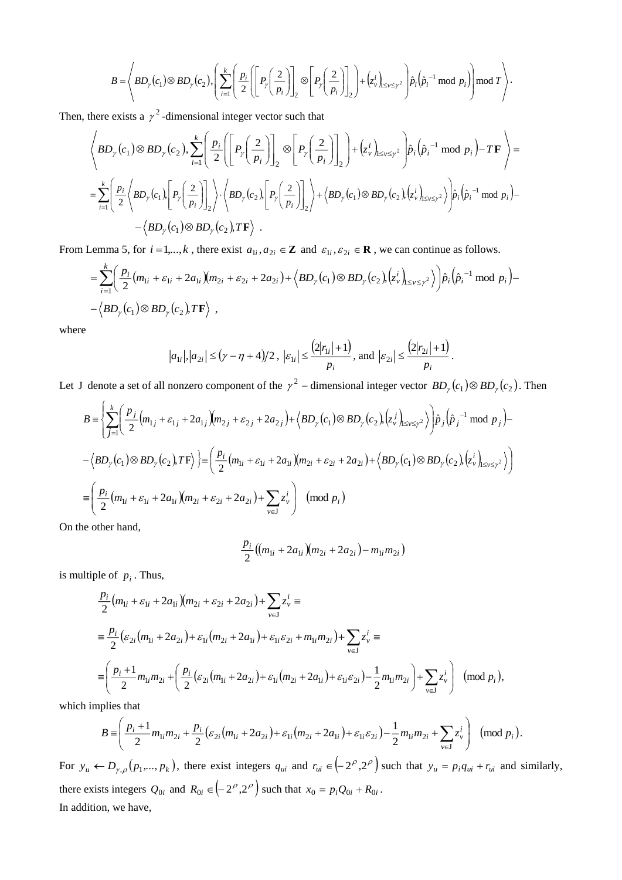$$
B = \left\langle BD_{\gamma}(c_1) \otimes BD_{\gamma}(c_2), \left(\sum_{i=1}^{k} \left[ \frac{p_i}{2} \left[ \left[ P_{\gamma} \left( \frac{2}{p_i} \right) \right]_{2} \otimes \left[ P_{\gamma} \left( \frac{2}{p_i} \right) \right]_{2} \right] + \left(z_v^i\right)_{\leq v \leq \gamma^2} \right] \hat{p}_i \left(\hat{p}_i^{-1} \bmod p_i\right) \right\rangle \text{mod } T \right\rangle.
$$

Then, there exists a  $\gamma^2$ -dimensional integer vector such that

$$
\left\langle BD_{\gamma}(c_{1}) \otimes BD_{\gamma}(c_{2}), \sum_{i=1}^{k} \left( \frac{p_{i}}{2} \left( \left[ P_{\gamma} \left( \frac{2}{p_{i}} \right) \right]_{2} \otimes \left[ P_{\gamma} \left( \frac{2}{p_{i}} \right) \right]_{2} \right) + \left( z_{\nu}^{i} \right)_{1 \leq \nu \leq \gamma^{2}} \right) \hat{p}_{i} \left( \hat{p}_{i}^{-1} \mod p_{i} \right) - T \mathbf{F} \right\rangle =
$$
\n
$$
= \sum_{i=1}^{k} \left( \frac{p_{i}}{2} \left\langle BD_{\gamma}(c_{1}), \left[ P_{\gamma} \left( \frac{2}{p_{i}} \right) \right]_{2} \right\rangle \cdot \left\langle BD_{\gamma}(c_{2}), \left[ P_{\gamma} \left( \frac{2}{p_{i}} \right) \right]_{2} \right\rangle + \left\langle BD_{\gamma}(c_{1}) \otimes BD_{\gamma}(c_{2}), \left( z_{\nu}^{i} \right) \right\rangle_{1 \leq \nu \leq \gamma^{2}} \right\rangle \hat{p}_{i} \left( \hat{p}_{i}^{-1} \mod p_{i} \right) - \left\langle BD_{\gamma}(c_{1}) \otimes BD_{\gamma}(c_{2}), T \mathbf{F} \right\rangle.
$$

From Lemma 5, for  $i = 1,...,k$ , there exist  $a_{1i}$ ,  $a_{2i} \in \mathbf{Z}$  and  $\varepsilon_{1i}$ ,  $\varepsilon_{2i} \in \mathbf{R}$ , we can continue as follows.

$$
= \sum_{i=1}^{k} \left( \frac{p_i}{2} (m_{1i} + \varepsilon_{1i} + 2a_{1i}) (m_{2i} + \varepsilon_{2i} + 2a_{2i}) + \left( BD_{\gamma}(c_1) \otimes BD_{\gamma}(c_2), (z_{\nu}^i)_{1 \le \nu \le \gamma^2} \right) \hat{p}_i \left( \hat{p}_i^{-1} \mod p_i \right) - \left\langle BD_{\gamma}(c_1) \otimes BD_{\gamma}(c_2), T\mathbf{F} \right\rangle ,
$$

where

$$
|a_{1i}|, |a_{2i}| \le (\gamma - \eta + 4)/2, |\varepsilon_{1i}| \le \frac{(2|r_{1i}| + 1)}{p_i}, \text{ and } |\varepsilon_{2i}| \le \frac{(2|r_{2i}| + 1)}{p_i}.
$$

Let J denote a set of all nonzero component of the  $\gamma^2$  – dimensional integer vector  $BD_\gamma(c_1) \otimes BD_\gamma(c_2)$ . Then

$$
B = \left\{ \sum_{j=1}^{k} \left( \frac{p_j}{2} \left( m_{1j} + \varepsilon_{1j} + 2a_{1j} \right) \left( m_{2j} + \varepsilon_{2j} + 2a_{2j} \right) + \left\langle BD_{\gamma}(c_1) \otimes BD_{\gamma}(c_2), (z_{\nu}^j) \right|_{\leq \nu \leq \gamma^2} \right\rangle \right) \hat{p}_j \left( \hat{p}_j^{-1} \mod p_j \right) - \left\langle BD_{\gamma}(c_1) \otimes BD_{\gamma}(c_2), TF \right\rangle \right\} = \left( \frac{p_i}{2} \left( m_{1i} + \varepsilon_{1i} + 2a_{1i} \right) \left( m_{2i} + \varepsilon_{2i} + 2a_{2i} \right) + \left\langle BD_{\gamma}(c_1) \otimes BD_{\gamma}(c_2), (z_{\nu}^i) \right|_{\leq \nu \leq \gamma^2} \right\rangle \right)
$$
  
= 
$$
\left( \frac{p_i}{2} \left( m_{1i} + \varepsilon_{1i} + 2a_{1i} \right) \left( m_{2i} + \varepsilon_{2i} + 2a_{2i} \right) + \sum_{\nu \in J} z_{\nu}^i \right) \pmod{p_i}
$$

On the other hand,

$$
\frac{p_i}{2}((m_{1i}+2a_{1i})(m_{2i}+2a_{2i})-m_{1i}m_{2i})
$$

is multiple of  $p_i$ . Thus,

$$
\frac{p_i}{2}(m_{1i} + \varepsilon_{1i} + 2a_{1i})(m_{2i} + \varepsilon_{2i} + 2a_{2i}) + \sum_{v \in J} z_v^i =
$$
\n
$$
= \frac{p_i}{2}(\varepsilon_{2i}(m_{1i} + 2a_{2i}) + \varepsilon_{1i}(m_{2i} + 2a_{1i}) + \varepsilon_{1i}\varepsilon_{2i} + m_{1i}m_{2i}) + \sum_{v \in J} z_v^i =
$$
\n
$$
= \left(\frac{p_i + 1}{2}m_{1i}m_{2i} + \left(\frac{p_i}{2}(\varepsilon_{2i}(m_{1i} + 2a_{2i}) + \varepsilon_{1i}(m_{2i} + 2a_{1i}) + \varepsilon_{1i}\varepsilon_{2i}) - \frac{1}{2}m_{1i}m_{2i}\right) + \sum_{v \in J} z_v^i \right) \pmod{p_i},
$$

which implies that

$$
B = \left(\frac{p_i + 1}{2}m_{1i}m_{2i} + \frac{p_i}{2}(\varepsilon_{2i}(m_{1i} + 2a_{2i}) + \varepsilon_{1i}(m_{2i} + 2a_{1i}) + \varepsilon_{1i}\varepsilon_{2i}) - \frac{1}{2}m_{1i}m_{2i} + \sum_{v \in J} z_v^i\right) \pmod{p_i}.
$$

For  $y_u \leftarrow D_{\gamma,\rho}(p_1,...,p_k)$ , there exist integers  $q_{ui}$  and  $r_{ui} \in (-2^{\rho}, 2^{\rho})$  such that  $y_u = p_i q_{ui} + r_{ui}$  and similarly, there exists integers  $Q_{0i}$  and  $R_{0i} \in (-2^\rho, 2^\rho)$  such that  $x_0 = p_i Q_{0i} + R_{0i}$ . In addition, we have,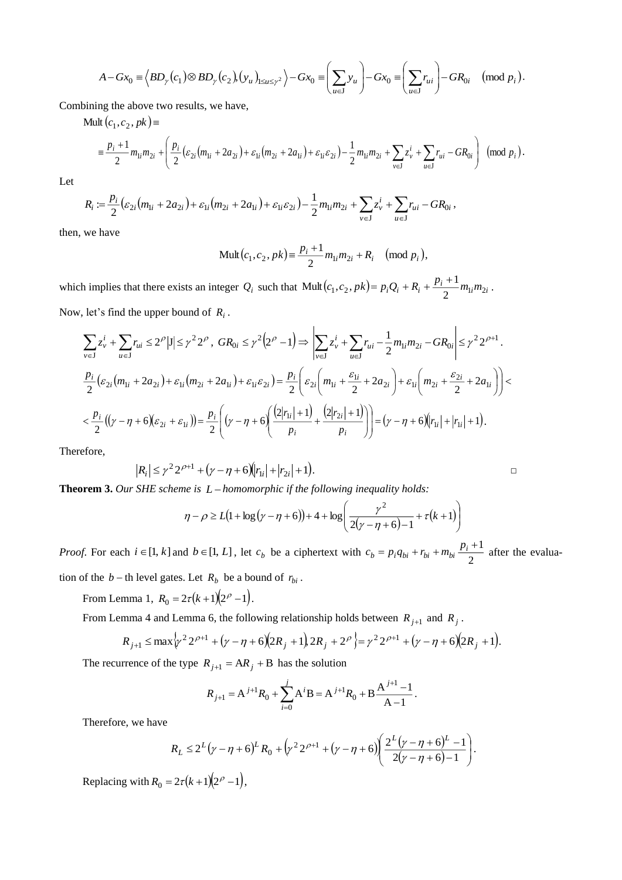$$
A - Gx_0 \equiv \left\langle BD_\gamma(c_1) \otimes BD_\gamma(c_2), (y_u)_{1 \le u \le \gamma^2} \right\rangle - Gx_0 \equiv \left(\sum_{u \in J} y_u\right) - Gx_0 \equiv \left(\sum_{u \in J} r_{ui}\right) - GR_{0i} \pmod{p_i}.
$$

Combining the above two results, we have,

 $\text{Mult}(c_1, c_2, pk) \equiv$ 

$$
\equiv \frac{p_i+1}{2}m_{1i}m_{2i} + \left(\frac{p_i}{2}(\varepsilon_{2i}(m_{1i}+2a_{2i})+\varepsilon_{1i}(m_{2i}+2a_{1i})+\varepsilon_{1i}\varepsilon_{2i})-\frac{1}{2}m_{1i}m_{2i} + \sum_{v\in J}\zeta_v^i + \sum_{u\in J}r_{ui}-GR_{0i}\right) (mod\ p_i).
$$

Let

$$
R_i := \frac{p_i}{2} \left( \varepsilon_{2i} \left( m_{1i} + 2a_{2i} \right) + \varepsilon_{1i} \left( m_{2i} + 2a_{1i} \right) + \varepsilon_{1i} \varepsilon_{2i} \right) - \frac{1}{2} m_{1i} m_{2i} + \sum_{v \in J} z_v^i + \sum_{u \in J} r_{ui} - G R_{0i} \,,
$$

then, we have

Mult 
$$
(c_1, c_2, pk) \equiv \frac{p_i + 1}{2} m_{1i} m_{2i} + R_i \pmod{p_i}
$$
,

which implies that there exists an integer  $Q_i$  such that  $Mult(c_1, c_2, pk) = p_iQ_i + R_i + \frac{p_i + 1}{2}m_{1i}m_{2i}$ . Now, let's find the upper bound of *Ri* .

$$
\sum_{v \in J} z_v^i + \sum_{u \in J} r_{ui} \le 2^{\rho} |J| \le \gamma^2 2^{\rho}, \quad GR_{0i} \le \gamma^2 (2^{\rho} - 1) \Rightarrow \left| \sum_{v \in J} z_v^i + \sum_{u \in J} r_{ui} - \frac{1}{2} m_{1i} m_{2i} - GR_{0i} \right| \le \gamma^2 2^{\rho+1}.
$$
\n
$$
\frac{p_i}{2} (\varepsilon_{2i} (m_{1i} + 2a_{2i}) + \varepsilon_{1i} (m_{2i} + 2a_{1i}) + \varepsilon_{1i} \varepsilon_{2i}) = \frac{p_i}{2} \left( \varepsilon_{2i} \left( m_{1i} + \frac{\varepsilon_{1i}}{2} + 2a_{2i} \right) + \varepsilon_{1i} \left( m_{2i} + \frac{\varepsilon_{2i}}{2} + 2a_{1i} \right) \right) \n< \frac{p_i}{2} ((\gamma - \eta + 6)(\varepsilon_{2i} + \varepsilon_{1i})) = \frac{p_i}{2} \left( (\gamma - \eta + 6) \left( \frac{(2|r_{1i}| + 1)}{p_i} + \frac{(2|r_{2i}| + 1)}{p_i} \right) \right) = (\gamma - \eta + 6) (|r_{1i}| + |r_{1i}| + 1).
$$

Therefore,

$$
|R_i| \leq \gamma^2 2^{\rho+1} + (\gamma - \eta + 6)|r_{1i}| + |r_{2i}| + 1).
$$

**Theorem 3.** *Our SHE scheme is L homomorphic if the following inequality holds:*

$$
\eta - \rho \ge L\left(1 + \log\left(\gamma - \eta + 6\right)\right) + 4 + \log\left(\frac{\gamma^2}{2(\gamma - \eta + 6) - 1} + \tau\left(k + 1\right)\right)
$$

*Proof.* For each  $i \in [1, k]$  and  $b \in [1, L]$ , let  $c_b$  be a ciphertext with  $c_b = p_i q_{bi} + r_{bi} + m_{bi} \frac{P_i}{2}$  $c_b = p_i q_{bi} + r_{bi} + m_{bi} \frac{p_i + 1}{2}$  after the evaluation of the  $b$  – th level gates. Let  $R_b$  be a bound of  $r_{bi}$ .

From Lemma 1,  $R_0 = 2\tau(k+1)(2^{\rho}-1)$ .

From Lemma 4 and Lemma 6, the following relationship holds between  $R_{j+1}$  and  $R_j$ .

$$
R_{j+1} \le \max\left\{\gamma^2 2^{\rho+1} + (\gamma - \eta + 6)(2R_j + 1) 2R_j + 2^{\rho}\right\} = \gamma^2 2^{\rho+1} + (\gamma - \eta + 6)(2R_j + 1).
$$

The recurrence of the type  $R_{j+1} = AR_j + B$  has the solution

$$
R_{j+1} = A^{j+1}R_0 + \sum_{i=0}^{j} A^{i}B = A^{j+1}R_0 + B\frac{A^{j+1}-1}{A-1}.
$$

Therefore, we have

$$
R_L \le 2^L (\gamma - \eta + 6)^L R_0 + (\gamma^2 2^{\rho+1} + (\gamma - \eta + 6)) \left( \frac{2^L (\gamma - \eta + 6)^L - 1}{2(\gamma - \eta + 6) - 1} \right).
$$

Replacing with  $R_0 = 2\tau(k+1)(2^{\rho}-1)$ ,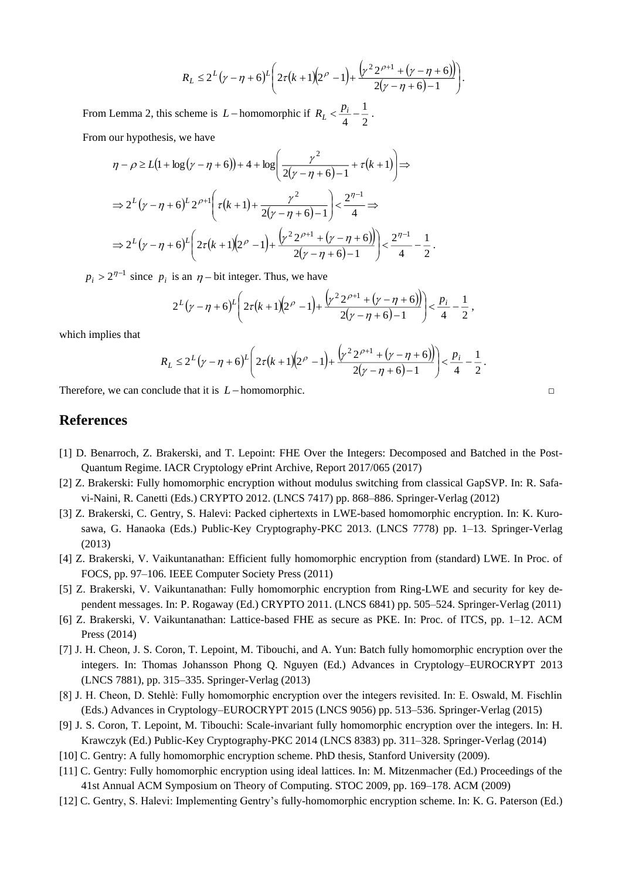$$
R_L \le 2^L(\gamma - \eta + 6)^L \bigg( 2\tau (k+1) \bigg(2^{\rho} - 1\bigg) + \frac{\bigg(\gamma^2 2^{\rho+1} + \big(\gamma - \eta + 6\big)\bigg)}{2\big(\gamma - \eta + 6\big) - 1} \bigg).
$$

From Lemma 2, this scheme is  $L$  – homomorphic if  $R_L < \frac{p_i}{4} - \frac{1}{2}$ 1  $R_L < \frac{p_i}{4} - \frac{1}{2}$ . From our hypothesis, we have

$$
\eta - \rho \ge L\left(1 + \log\left(\gamma - \eta + 6\right)\right) + 4 + \log\left(\frac{\gamma^2}{2(\gamma - \eta + 6) - 1} + \tau(k + 1)\right) \Rightarrow
$$
  

$$
\Rightarrow 2^L(\gamma - \eta + 6)^L 2^{\rho + 1}\left(\tau(k + 1) + \frac{\gamma^2}{2(\gamma - \eta + 6) - 1}\right) < \frac{2^{\eta - 1}}{4} \Rightarrow
$$
  

$$
\Rightarrow 2^L(\gamma - \eta + 6)^L\left(2\tau(k + 1)(2^{\rho} - 1) + \frac{\left(\gamma^2 2^{\rho + 1} + (\gamma - \eta + 6)\right)}{2(\gamma - \eta + 6) - 1}\right) < \frac{2^{\eta - 1}}{4} - \frac{1}{2}
$$

 $p_i > 2^{\eta-1}$  since  $p_i$  is an  $\eta$  – bit integer. Thus, we have

$$
2^{L}(\gamma-\eta+6)^{L}\left(2\tau(k+1)(2^{\rho}-1)+\frac{(\gamma^{2}2^{\rho+1}+(\gamma-\eta+6))}{2(\gamma-\eta+6)-1}\right)<\frac{p_{i}}{4}-\frac{1}{2},
$$

.

which implies that

$$
R_L \le 2^L(\gamma - \eta + 6)^L \left( 2\tau (k+1) \left( 2^{\rho} - 1 \right) + \frac{\left( \gamma^2 2^{\rho+1} + \left( \gamma - \eta + 6 \right) \right)}{2(\gamma - \eta + 6) - 1} \right) < \frac{p_i}{4} - \frac{1}{2}.
$$

Therefore, we can conclude that it is  $L$  – homomorphic. □

## **References**

- [1] D. Benarroch, Z. Brakerski, and T. Lepoint: FHE Over the Integers: Decomposed and Batched in the Post-Quantum Regime. IACR Cryptology ePrint Archive, Report 2017/065 (2017)
- [2] Z. Brakerski: Fully homomorphic encryption without modulus switching from classical GapSVP. In: R. Safavi-Naini, R. Canetti (Eds.) CRYPTO 2012. (LNCS 7417) pp. 868–886. Springer-Verlag (2012)
- [3] Z. Brakerski, C. Gentry, S. Halevi: Packed ciphertexts in LWE-based homomorphic encryption. In: K. Kurosawa, G. Hanaoka (Eds.) Public-Key Cryptography-PKC 2013. (LNCS 7778) pp. 1–13. Springer-Verlag (2013)
- [4] Z. Brakerski, V. Vaikuntanathan: Efficient fully homomorphic encryption from (standard) LWE. In Proc. of FOCS, pp. 97–106. IEEE Computer Society Press (2011)
- [5] Z. Brakerski, V. Vaikuntanathan: Fully homomorphic encryption from Ring-LWE and security for key dependent messages. In: P. Rogaway (Ed.) CRYPTO 2011. (LNCS 6841) pp. 505–524. Springer-Verlag (2011)
- [6] Z. Brakerski, V. Vaikuntanathan: Lattice-based FHE as secure as PKE. In: Proc. of ITCS, pp. 1–12. ACM Press (2014)
- [7] J. H. Cheon, J. S. Coron, T. Lepoint, M. Tibouchi, and A. Yun: Batch fully homomorphic encryption over the integers. In: Thomas Johansson Phong Q. Nguyen (Ed.) Advances in Cryptology–EUROCRYPT 2013 (LNCS 7881), pp. 315–335. Springer-Verlag (2013)
- [8] J. H. Cheon, D. Stehlè: Fully homomorphic encryption over the integers revisited. In: E. Oswald, M. Fischlin (Eds.) Advances in Cryptology–EUROCRYPT 2015 (LNCS 9056) pp. 513–536. Springer-Verlag (2015)
- [9] J. S. Coron, T. Lepoint, M. Tibouchi: Scale-invariant fully homomorphic encryption over the integers. In: H. Krawczyk (Ed.) Public-Key Cryptography-PKC 2014 (LNCS 8383) pp. 311–328. Springer-Verlag (2014)
- [10] C. Gentry: A fully homomorphic encryption scheme. PhD thesis, Stanford University (2009).
- [11] C. Gentry: Fully homomorphic encryption using ideal lattices. In: M. Mitzenmacher (Ed.) Proceedings of the 41st Annual ACM Symposium on Theory of Computing. STOC 2009, pp. 169–178. ACM (2009)
- [12] C. Gentry, S. Halevi: Implementing Gentry's fully-homomorphic encryption scheme. In: K. G. Paterson (Ed.)